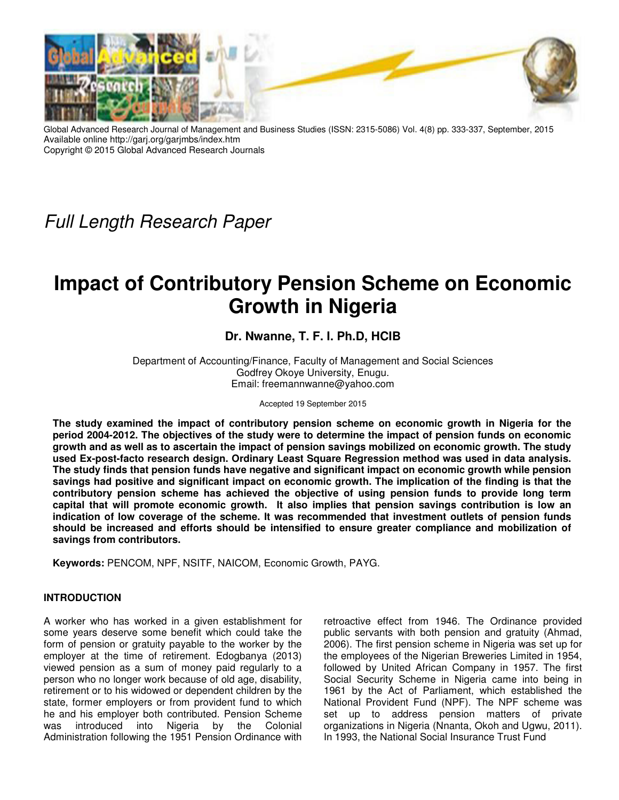

Global Advanced Research Journal of Management and Business Studies (ISSN: 2315-5086) Vol. 4(8) pp. 333-337, September, 2015 Available online http://garj.org/garjmbs/index.htm Copyright © 2015 Global Advanced Research Journals

Full Length Research Paper

# **Impact of Contributory Pension Scheme on Economic Growth in Nigeria**

# **Dr. Nwanne, T. F. I. Ph.D, HCIB**

Department of Accounting/Finance, Faculty of Management and Social Sciences Godfrey Okoye University, Enugu. Email: freemannwanne@yahoo.com

Accepted 19 September 2015

**The study examined the impact of contributory pension scheme on economic growth in Nigeria for the period 2004-2012. The objectives of the study were to determine the impact of pension funds on economic growth and as well as to ascertain the impact of pension savings mobilized on economic growth. The study used Ex-post-facto research design. Ordinary Least Square Regression method was used in data analysis. The study finds that pension funds have negative and significant impact on economic growth while pension savings had positive and significant impact on economic growth. The implication of the finding is that the contributory pension scheme has achieved the objective of using pension funds to provide long term capital that will promote economic growth. It also implies that pension savings contribution is low an indication of low coverage of the scheme. It was recommended that investment outlets of pension funds should be increased and efforts should be intensified to ensure greater compliance and mobilization of savings from contributors.** 

**Keywords:** PENCOM, NPF, NSITF, NAICOM, Economic Growth, PAYG.

# **INTRODUCTION**

A worker who has worked in a given establishment for some years deserve some benefit which could take the form of pension or gratuity payable to the worker by the employer at the time of retirement. Edogbanya (2013) viewed pension as a sum of money paid regularly to a person who no longer work because of old age, disability, retirement or to his widowed or dependent children by the state, former employers or from provident fund to which he and his employer both contributed. Pension Scheme was introduced into Nigeria by the Colonial Administration following the 1951 Pension Ordinance with

retroactive effect from 1946. The Ordinance provided public servants with both pension and gratuity (Ahmad, 2006). The first pension scheme in Nigeria was set up for the employees of the Nigerian Breweries Limited in 1954, followed by United African Company in 1957. The first Social Security Scheme in Nigeria came into being in 1961 by the Act of Parliament, which established the National Provident Fund (NPF). The NPF scheme was set up to address pension matters of private organizations in Nigeria (Nnanta, Okoh and Ugwu, 2011). In 1993, the National Social Insurance Trust Fund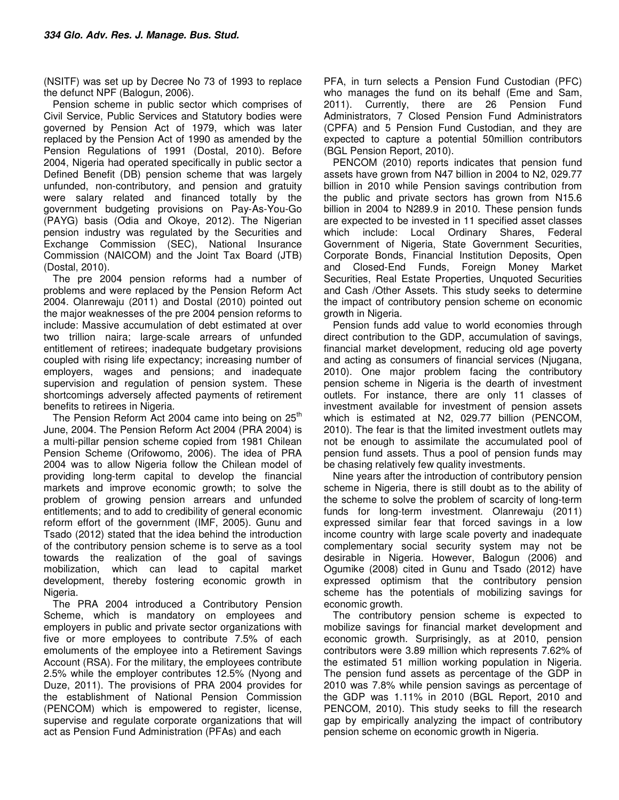(NSITF) was set up by Decree No 73 of 1993 to replace the defunct NPF (Balogun, 2006).

Pension scheme in public sector which comprises of Civil Service, Public Services and Statutory bodies were governed by Pension Act of 1979, which was later replaced by the Pension Act of 1990 as amended by the Pension Regulations of 1991 (Dostal, 2010). Before 2004, Nigeria had operated specifically in public sector a Defined Benefit (DB) pension scheme that was largely unfunded, non-contributory, and pension and gratuity were salary related and financed totally by the government budgeting provisions on Pay-As-You-Go (PAYG) basis (Odia and Okoye, 2012). The Nigerian pension industry was regulated by the Securities and Exchange Commission (SEC), National Insurance Commission (NAICOM) and the Joint Tax Board (JTB) (Dostal, 2010).

The pre 2004 pension reforms had a number of problems and were replaced by the Pension Reform Act 2004. Olanrewaju (2011) and Dostal (2010) pointed out the major weaknesses of the pre 2004 pension reforms to include: Massive accumulation of debt estimated at over two trillion naira; large-scale arrears of unfunded entitlement of retirees; inadequate budgetary provisions coupled with rising life expectancy; increasing number of employers, wages and pensions; and inadequate supervision and regulation of pension system. These shortcomings adversely affected payments of retirement benefits to retirees in Nigeria.

The Pension Reform Act 2004 came into being on  $25<sup>th</sup>$ June, 2004. The Pension Reform Act 2004 (PRA 2004) is a multi-pillar pension scheme copied from 1981 Chilean Pension Scheme (Orifowomo, 2006). The idea of PRA 2004 was to allow Nigeria follow the Chilean model of providing long-term capital to develop the financial markets and improve economic growth; to solve the problem of growing pension arrears and unfunded entitlements; and to add to credibility of general economic reform effort of the government (IMF, 2005). Gunu and Tsado (2012) stated that the idea behind the introduction of the contributory pension scheme is to serve as a tool towards the realization of the goal of savings mobilization, which can lead to capital market development, thereby fostering economic growth in Nigeria.

The PRA 2004 introduced a Contributory Pension Scheme, which is mandatory on employees and employers in public and private sector organizations with five or more employees to contribute 7.5% of each emoluments of the employee into a Retirement Savings Account (RSA). For the military, the employees contribute 2.5% while the employer contributes 12.5% (Nyong and Duze, 2011). The provisions of PRA 2004 provides for the establishment of National Pension Commission (PENCOM) which is empowered to register, license, supervise and regulate corporate organizations that will act as Pension Fund Administration (PFAs) and each

PFA, in turn selects a Pension Fund Custodian (PFC) who manages the fund on its behalf (Eme and Sam, 2011). Currently, there are 26 Pension Fund Administrators, 7 Closed Pension Fund Administrators (CPFA) and 5 Pension Fund Custodian, and they are expected to capture a potential 50million contributors (BGL Pension Report, 2010).

PENCOM (2010) reports indicates that pension fund assets have grown from N47 billion in 2004 to N2, 029.77 billion in 2010 while Pension savings contribution from the public and private sectors has grown from N15.6 billion in 2004 to N289.9 in 2010. These pension funds are expected to be invested in 11 specified asset classes which include: Local Ordinary Shares, Federal Government of Nigeria, State Government Securities, Corporate Bonds, Financial Institution Deposits, Open and Closed-End Funds, Foreign Money Market Securities, Real Estate Properties, Unquoted Securities and Cash /Other Assets. This study seeks to determine the impact of contributory pension scheme on economic growth in Nigeria.

Pension funds add value to world economies through direct contribution to the GDP, accumulation of savings, financial market development, reducing old age poverty and acting as consumers of financial services (Njugana, 2010). One major problem facing the contributory pension scheme in Nigeria is the dearth of investment outlets. For instance, there are only 11 classes of investment available for investment of pension assets which is estimated at N2, 029.77 billion (PENCOM, 2010). The fear is that the limited investment outlets may not be enough to assimilate the accumulated pool of pension fund assets. Thus a pool of pension funds may be chasing relatively few quality investments.

Nine years after the introduction of contributory pension scheme in Nigeria, there is still doubt as to the ability of the scheme to solve the problem of scarcity of long-term funds for long-term investment. Olanrewaju (2011) expressed similar fear that forced savings in a low income country with large scale poverty and inadequate complementary social security system may not be desirable in Nigeria. However, Balogun (2006) and Ogumike (2008) cited in Gunu and Tsado (2012) have expressed optimism that the contributory pension scheme has the potentials of mobilizing savings for economic growth.

The contributory pension scheme is expected to mobilize savings for financial market development and economic growth. Surprisingly, as at 2010, pension contributors were 3.89 million which represents 7.62% of the estimated 51 million working population in Nigeria. The pension fund assets as percentage of the GDP in 2010 was 7.8% while pension savings as percentage of the GDP was 1.11% in 2010 (BGL Report, 2010 and PENCOM, 2010). This study seeks to fill the research gap by empirically analyzing the impact of contributory pension scheme on economic growth in Nigeria.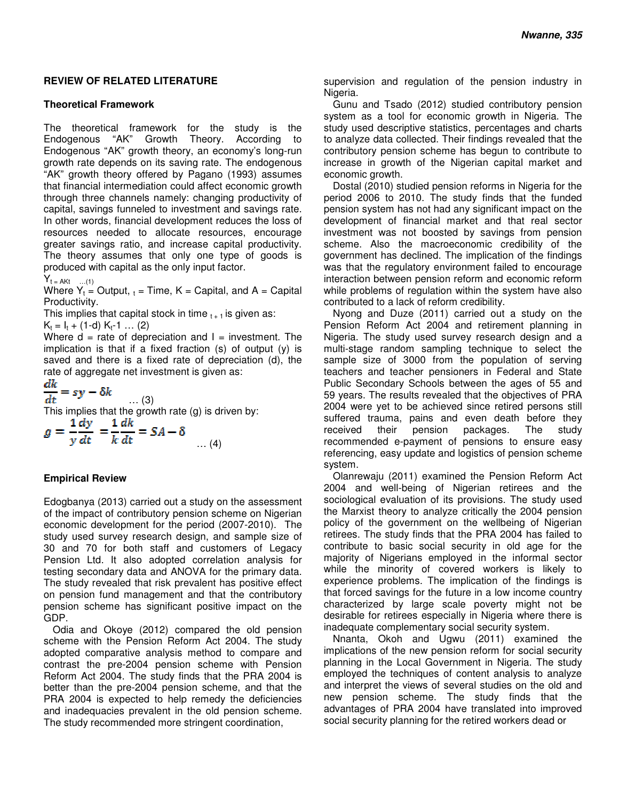#### **REVIEW OF RELATED LITERATURE**

#### **Theoretical Framework**

The theoretical framework for the study is the Endogenous "AK" Growth Theory. According to Endogenous "AK" growth theory, an economy's long-run growth rate depends on its saving rate. The endogenous "AK" growth theory offered by Pagano (1993) assumes that financial intermediation could affect economic growth through three channels namely: changing productivity of capital, savings funneled to investment and savings rate. In other words, financial development reduces the loss of resources needed to allocate resources, encourage greater savings ratio, and increase capital productivity. The theory assumes that only one type of goods is produced with capital as the only input factor.

 $Y_t = AKt$  ...(1)

Where  $Y_t$  = Output,  $_t$  = Time, K = Capital, and A = Capital Productivity.

This implies that capital stock in time  $t_{t+1}$  is given as:

 $K_t = I_t + (1-d) K_t - 1 ... (2)$ 

Where  $d =$  rate of depreciation and  $l =$  investment. The implication is that if a fixed fraction (s) of output (y) is saved and there is a fixed rate of depreciation (d), the rate of aggregate net investment is given as:

$$
\frac{dk}{\cdot \cdot} = sv - \delta k
$$

 $dt$ … (3)

This implies that the growth rate (g) is driven by:

$$
g = \frac{1}{y}\frac{dy}{dt} = \frac{1}{k}\frac{dk}{dt} = SA - \delta
$$
 ... (4)

#### **Empirical Review**

Edogbanya (2013) carried out a study on the assessment of the impact of contributory pension scheme on Nigerian economic development for the period (2007-2010). The study used survey research design, and sample size of 30 and 70 for both staff and customers of Legacy Pension Ltd. It also adopted correlation analysis for testing secondary data and ANOVA for the primary data. The study revealed that risk prevalent has positive effect on pension fund management and that the contributory pension scheme has significant positive impact on the GDP.

Odia and Okoye (2012) compared the old pension scheme with the Pension Reform Act 2004. The study adopted comparative analysis method to compare and contrast the pre-2004 pension scheme with Pension Reform Act 2004. The study finds that the PRA 2004 is better than the pre-2004 pension scheme, and that the PRA 2004 is expected to help remedy the deficiencies and inadequacies prevalent in the old pension scheme. The study recommended more stringent coordination,

supervision and regulation of the pension industry in Nigeria.

Gunu and Tsado (2012) studied contributory pension system as a tool for economic growth in Nigeria. The study used descriptive statistics, percentages and charts to analyze data collected. Their findings revealed that the contributory pension scheme has begun to contribute to increase in growth of the Nigerian capital market and economic growth.

Dostal (2010) studied pension reforms in Nigeria for the period 2006 to 2010. The study finds that the funded pension system has not had any significant impact on the development of financial market and that real sector investment was not boosted by savings from pension scheme. Also the macroeconomic credibility of the government has declined. The implication of the findings was that the regulatory environment failed to encourage interaction between pension reform and economic reform while problems of regulation within the system have also contributed to a lack of reform credibility.

Nyong and Duze (2011) carried out a study on the Pension Reform Act 2004 and retirement planning in Nigeria. The study used survey research design and a multi-stage random sampling technique to select the sample size of 3000 from the population of serving teachers and teacher pensioners in Federal and State Public Secondary Schools between the ages of 55 and 59 years. The results revealed that the objectives of PRA 2004 were yet to be achieved since retired persons still suffered trauma, pains and even death before they received their pension packages. The study recommended e-payment of pensions to ensure easy referencing, easy update and logistics of pension scheme system.

Olanrewaju (2011) examined the Pension Reform Act 2004 and well-being of Nigerian retirees and the sociological evaluation of its provisions. The study used the Marxist theory to analyze critically the 2004 pension policy of the government on the wellbeing of Nigerian retirees. The study finds that the PRA 2004 has failed to contribute to basic social security in old age for the majority of Nigerians employed in the informal sector while the minority of covered workers is likely to experience problems. The implication of the findings is that forced savings for the future in a low income country characterized by large scale poverty might not be desirable for retirees especially in Nigeria where there is inadequate complementary social security system.

Nnanta, Okoh and Ugwu (2011) examined the implications of the new pension reform for social security planning in the Local Government in Nigeria. The study employed the techniques of content analysis to analyze and interpret the views of several studies on the old and new pension scheme. The study finds that the advantages of PRA 2004 have translated into improved social security planning for the retired workers dead or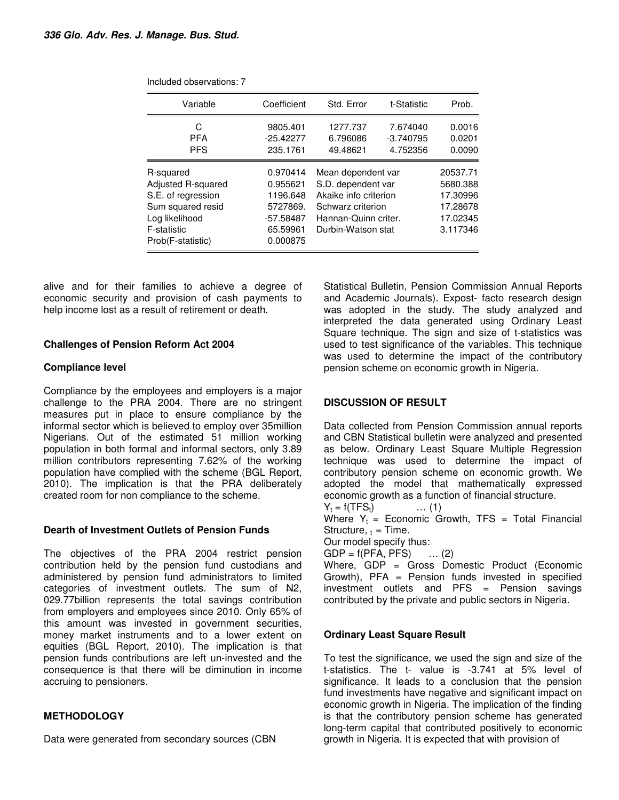| Variable                                                                                                                         | Coefficient                                                                       | Std. Error                                                                                                                           | t-Statistic                         | Prob.                                                                |
|----------------------------------------------------------------------------------------------------------------------------------|-----------------------------------------------------------------------------------|--------------------------------------------------------------------------------------------------------------------------------------|-------------------------------------|----------------------------------------------------------------------|
| C<br><b>PFA</b><br><b>PFS</b>                                                                                                    | 9805.401<br>$-25.42277$<br>235.1761                                               | 1277.737<br>6.796086<br>49.48621                                                                                                     | 7.674040<br>$-3.740795$<br>4.752356 | 0.0016<br>0.0201<br>0.0090                                           |
| R-squared<br>Adjusted R-squared<br>S.E. of regression<br>Sum squared resid<br>Log likelihood<br>F-statistic<br>Prob(F-statistic) | 0.970414<br>0.955621<br>1196.648<br>5727869.<br>-57.58487<br>65.59961<br>0.000875 | Mean dependent var<br>S.D. dependent var<br>Akaike info criterion<br>Schwarz criterion<br>Hannan-Quinn criter.<br>Durbin-Watson stat |                                     | 20537.71<br>5680.388<br>17.30996<br>17.28678<br>17.02345<br>3.117346 |

Included observations: 7

alive and for their families to achieve a degree of economic security and provision of cash payments to help income lost as a result of retirement or death.

#### **Challenges of Pension Reform Act 2004**

### **Compliance level**

Compliance by the employees and employers is a major challenge to the PRA 2004. There are no stringent measures put in place to ensure compliance by the informal sector which is believed to employ over 35million Nigerians. Out of the estimated 51 million working population in both formal and informal sectors, only 3.89 million contributors representing 7.62% of the working population have complied with the scheme (BGL Report, 2010). The implication is that the PRA deliberately created room for non compliance to the scheme.

#### **Dearth of Investment Outlets of Pension Funds**

The objectives of the PRA 2004 restrict pension contribution held by the pension fund custodians and administered by pension fund administrators to limited categories of investment outlets. The sum of  $\mathsf{H2}$ , 029.77billion represents the total savings contribution from employers and employees since 2010. Only 65% of this amount was invested in government securities, money market instruments and to a lower extent on equities (BGL Report, 2010). The implication is that pension funds contributions are left un-invested and the consequence is that there will be diminution in income accruing to pensioners.

# **METHODOLOGY**

Data were generated from secondary sources (CBN

Statistical Bulletin, Pension Commission Annual Reports and Academic Journals). Expost- facto research design was adopted in the study. The study analyzed and interpreted the data generated using Ordinary Least Square technique. The sign and size of t-statistics was used to test significance of the variables. This technique was used to determine the impact of the contributory pension scheme on economic growth in Nigeria.

# **DISCUSSION OF RESULT**

Data collected from Pension Commission annual reports and CBN Statistical bulletin were analyzed and presented as below. Ordinary Least Square Multiple Regression technique was used to determine the impact of contributory pension scheme on economic growth. We adopted the model that mathematically expressed economic growth as a function of financial structure.

 $Y_t = f(TFS_t)$  ... (1)

Where  $Y_t$  = Economic Growth, TFS = Total Financial Structure,  $t =$ Time.

Our model specify thus:

 $GDP = f(PFA, PFS)$  ... (2)

Where, GDP = Gross Domestic Product (Economic Growth),  $PFA =$  Pension funds invested in specified investment outlets and PFS = Pension savings contributed by the private and public sectors in Nigeria.

#### **Ordinary Least Square Result**

To test the significance, we used the sign and size of the t-statistics. The t- value is -3.741 at 5% level of significance. It leads to a conclusion that the pension fund investments have negative and significant impact on economic growth in Nigeria. The implication of the finding is that the contributory pension scheme has generated long-term capital that contributed positively to economic growth in Nigeria. It is expected that with provision of